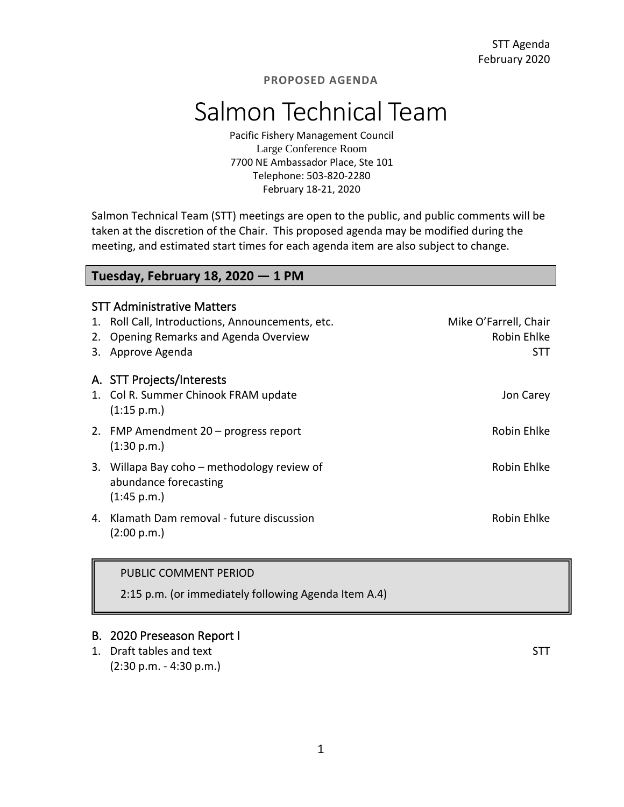### **PROPOSED AGENDA**

# Salmon Technical Team

Pacific Fishery Management Council Large Conference Room 7700 NE Ambassador Place, Ste 101 Telephone: 503-820-2280 February 18-21, 2020

Salmon Technical Team (STT) meetings are open to the public, and public comments will be taken at the discretion of the Chair. This proposed agenda may be modified during the meeting, and estimated start times for each agenda item are also subject to change.

## **Tuesday, February 18, 2020 — 1 PM**

|    | <b>STT Administrative Matters</b>                                    |                       |  |  |  |
|----|----------------------------------------------------------------------|-----------------------|--|--|--|
|    | 1. Roll Call, Introductions, Announcements, etc.                     | Mike O'Farrell, Chair |  |  |  |
| 2. | Opening Remarks and Agenda Overview                                  | Robin Ehlke           |  |  |  |
|    | 3. Approve Agenda                                                    | STT                   |  |  |  |
|    | A. STT Projects/Interests                                            |                       |  |  |  |
|    | 1. Col R. Summer Chinook FRAM update                                 | Jon Carey             |  |  |  |
|    | (1:15 p.m.)                                                          |                       |  |  |  |
|    | 2. FMP Amendment 20 - progress report                                | Robin Ehlke           |  |  |  |
|    | (1:30 p.m.)                                                          |                       |  |  |  |
|    | 3. Willapa Bay coho – methodology review of<br>abundance forecasting | Robin Ehlke           |  |  |  |
|    | (1:45 p.m.)                                                          |                       |  |  |  |
|    | 4. Klamath Dam removal - future discussion<br>(2:00 p.m.)            | Robin Ehlke           |  |  |  |
|    |                                                                      |                       |  |  |  |

#### PUBLIC COMMENT PERIOD

2:15 p.m. (or immediately following Agenda Item A.4)

## B. 2020 Preseason Report I

1. Draft tables and text STT (2:30 p.m. - 4:30 p.m.)